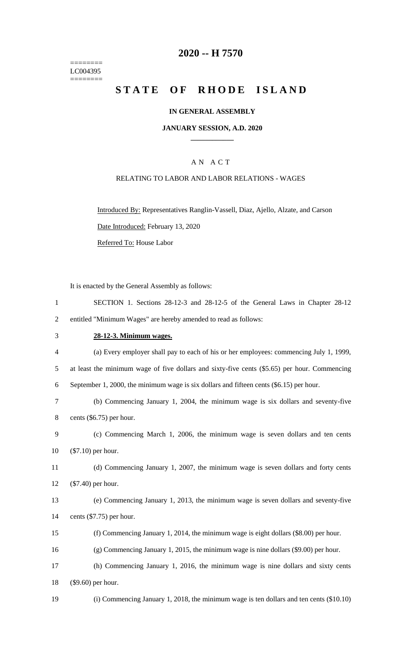======== LC004395 ========

# **-- H 7570**

# STATE OF RHODE ISLAND

## **IN GENERAL ASSEMBLY**

## **JANUARY SESSION, A.D. 2020 \_\_\_\_\_\_\_\_\_\_\_\_**

## A N A C T

## RELATING TO LABOR AND LABOR RELATIONS - WAGES

Introduced By: Representatives Ranglin-Vassell, Diaz, Ajello, Alzate, and Carson Date Introduced: February 13, 2020 Referred To: House Labor

It is enacted by the General Assembly as follows:

| SECTION 1. Sections 28-12-3 and 28-12-5 of the General Laws in Chapter 28-12 |
|------------------------------------------------------------------------------|
| entitled "Minimum Wages" are hereby amended to read as follows:              |

# **28-12-3. Minimum wages.**

 (a) Every employer shall pay to each of his or her employees: commencing July 1, 1999, at least the minimum wage of five dollars and sixty-five cents (\$5.65) per hour. Commencing September 1, 2000, the minimum wage is six dollars and fifteen cents (\$6.15) per hour. (b) Commencing January 1, 2004, the minimum wage is six dollars and seventy-five cents (\$6.75) per hour. (c) Commencing March 1, 2006, the minimum wage is seven dollars and ten cents (\$7.10) per hour. (d) Commencing January 1, 2007, the minimum wage is seven dollars and forty cents (\$7.40) per hour. (e) Commencing January 1, 2013, the minimum wage is seven dollars and seventy-five cents (\$7.75) per hour. (f) Commencing January 1, 2014, the minimum wage is eight dollars (\$8.00) per hour. (g) Commencing January 1, 2015, the minimum wage is nine dollars (\$9.00) per hour. (h) Commencing January 1, 2016, the minimum wage is nine dollars and sixty cents (\$9.60) per hour. (i) Commencing January 1, 2018, the minimum wage is ten dollars and ten cents (\$10.10)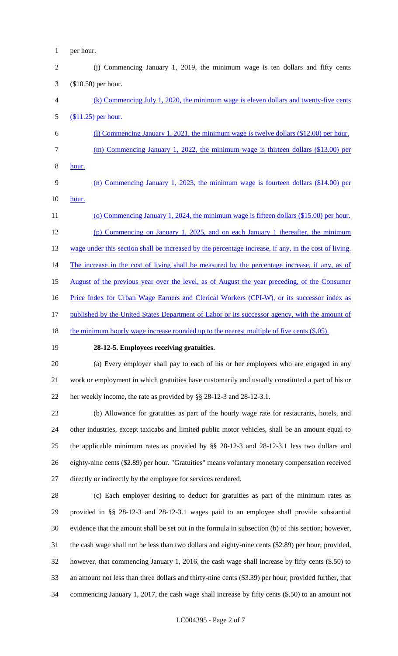- per hour.
- (j) Commencing January 1, 2019, the minimum wage is ten dollars and fifty cents (\$10.50) per hour.
- (k) Commencing July 1, 2020, the minimum wage is eleven dollars and twenty-five cents (\$11.25) per hour.
- (l) Commencing January 1, 2021, the minimum wage is twelve dollars (\$12.00) per hour. (m) Commencing January 1, 2022, the minimum wage is thirteen dollars (\$13.00) per hour.
- (n) Commencing January 1, 2023, the minimum wage is fourteen dollars (\$14.00) per hour.
- 11 (o) Commencing January 1, 2024, the minimum wage is fifteen dollars (\$15.00) per hour. (p) Commencing on January 1, 2025, and on each January 1 thereafter, the minimum 13 wage under this section shall be increased by the percentage increase, if any, in the cost of living. 14 The increase in the cost of living shall be measured by the percentage increase, if any, as of August of the previous year over the level, as of August the year preceding, of the Consumer 16 Price Index for Urban Wage Earners and Clerical Workers (CPI-W), or its successor index as 17 published by the United States Department of Labor or its successor agency, with the amount of
- 18 the minimum hourly wage increase rounded up to the nearest multiple of five cents (\$.05).
- 

# **28-12-5. Employees receiving gratuities.**

 (a) Every employer shall pay to each of his or her employees who are engaged in any work or employment in which gratuities have customarily and usually constituted a part of his or her weekly income, the rate as provided by §§ 28-12-3 and 28-12-3.1.

 (b) Allowance for gratuities as part of the hourly wage rate for restaurants, hotels, and other industries, except taxicabs and limited public motor vehicles, shall be an amount equal to the applicable minimum rates as provided by §§ 28-12-3 and 28-12-3.1 less two dollars and eighty-nine cents (\$2.89) per hour. "Gratuities" means voluntary monetary compensation received directly or indirectly by the employee for services rendered.

 (c) Each employer desiring to deduct for gratuities as part of the minimum rates as provided in §§ 28-12-3 and 28-12-3.1 wages paid to an employee shall provide substantial evidence that the amount shall be set out in the formula in subsection (b) of this section; however, the cash wage shall not be less than two dollars and eighty-nine cents (\$2.89) per hour; provided, however, that commencing January 1, 2016, the cash wage shall increase by fifty cents (\$.50) to an amount not less than three dollars and thirty-nine cents (\$3.39) per hour; provided further, that commencing January 1, 2017, the cash wage shall increase by fifty cents (\$.50) to an amount not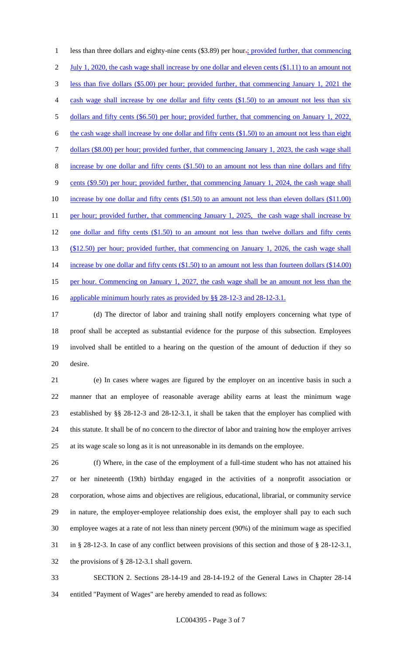1 less than three dollars and eighty-nine cents (\$3.89) per hour-; provided further, that commencing 2 July 1, 2020, the cash wage shall increase by one dollar and eleven cents (\$1.11) to an amount not less than five dollars (\$5.00) per hour; provided further, that commencing January 1, 2021 the cash wage shall increase by one dollar and fifty cents (\$1.50) to an amount not less than six dollars and fifty cents (\$6.50) per hour; provided further, that commencing on January 1, 2022, the cash wage shall increase by one dollar and fifty cents (\$1.50) to an amount not less than eight dollars (\$8.00) per hour; provided further, that commencing January 1, 2023, the cash wage shall increase by one dollar and fifty cents (\$1.50) to an amount not less than nine dollars and fifty cents (\$9.50) per hour; provided further, that commencing January 1, 2024, the cash wage shall 10 increase by one dollar and fifty cents (\$1.50) to an amount not less than eleven dollars (\$11.00) 11 per hour; provided further, that commencing January 1, 2025, the cash wage shall increase by 12 one dollar and fifty cents (\$1.50) to an amount not less than twelve dollars and fifty cents (\$12.50) per hour; provided further, that commencing on January 1, 2026, the cash wage shall 14 increase by one dollar and fifty cents (\$1.50) to an amount not less than fourteen dollars (\$14.00) 15 per hour. Commencing on January 1, 2027, the cash wage shall be an amount not less than the 16 applicable minimum hourly rates as provided by §§ 28-12-3 and 28-12-3.1.

 (d) The director of labor and training shall notify employers concerning what type of proof shall be accepted as substantial evidence for the purpose of this subsection. Employees involved shall be entitled to a hearing on the question of the amount of deduction if they so desire.

 (e) In cases where wages are figured by the employer on an incentive basis in such a manner that an employee of reasonable average ability earns at least the minimum wage established by §§ 28-12-3 and 28-12-3.1, it shall be taken that the employer has complied with this statute. It shall be of no concern to the director of labor and training how the employer arrives at its wage scale so long as it is not unreasonable in its demands on the employee.

 (f) Where, in the case of the employment of a full-time student who has not attained his or her nineteenth (19th) birthday engaged in the activities of a nonprofit association or corporation, whose aims and objectives are religious, educational, librarial, or community service in nature, the employer-employee relationship does exist, the employer shall pay to each such employee wages at a rate of not less than ninety percent (90%) of the minimum wage as specified in § 28-12-3. In case of any conflict between provisions of this section and those of § 28-12-3.1, the provisions of § 28-12-3.1 shall govern.

 SECTION 2. Sections 28-14-19 and 28-14-19.2 of the General Laws in Chapter 28-14 entitled "Payment of Wages" are hereby amended to read as follows: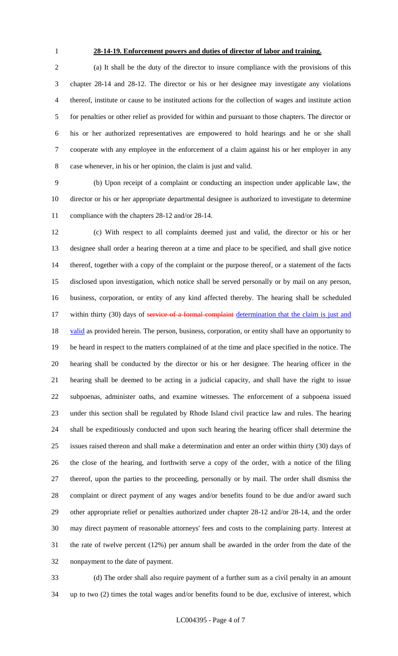# **28-14-19. Enforcement powers and duties of director of labor and training.**

 (a) It shall be the duty of the director to insure compliance with the provisions of this chapter 28-14 and 28-12. The director or his or her designee may investigate any violations thereof, institute or cause to be instituted actions for the collection of wages and institute action for penalties or other relief as provided for within and pursuant to those chapters. The director or his or her authorized representatives are empowered to hold hearings and he or she shall cooperate with any employee in the enforcement of a claim against his or her employer in any case whenever, in his or her opinion, the claim is just and valid.

 (b) Upon receipt of a complaint or conducting an inspection under applicable law, the director or his or her appropriate departmental designee is authorized to investigate to determine compliance with the chapters 28-12 and/or 28-14.

 (c) With respect to all complaints deemed just and valid, the director or his or her designee shall order a hearing thereon at a time and place to be specified, and shall give notice thereof, together with a copy of the complaint or the purpose thereof, or a statement of the facts disclosed upon investigation, which notice shall be served personally or by mail on any person, business, corporation, or entity of any kind affected thereby. The hearing shall be scheduled 17 within thirty (30) days of service of a formal complaint determination that the claim is just and 18 valid as provided herein. The person, business, corporation, or entity shall have an opportunity to be heard in respect to the matters complained of at the time and place specified in the notice. The hearing shall be conducted by the director or his or her designee. The hearing officer in the hearing shall be deemed to be acting in a judicial capacity, and shall have the right to issue subpoenas, administer oaths, and examine witnesses. The enforcement of a subpoena issued under this section shall be regulated by Rhode Island civil practice law and rules. The hearing shall be expeditiously conducted and upon such hearing the hearing officer shall determine the issues raised thereon and shall make a determination and enter an order within thirty (30) days of the close of the hearing, and forthwith serve a copy of the order, with a notice of the filing thereof, upon the parties to the proceeding, personally or by mail. The order shall dismiss the complaint or direct payment of any wages and/or benefits found to be due and/or award such other appropriate relief or penalties authorized under chapter 28-12 and/or 28-14, and the order may direct payment of reasonable attorneys' fees and costs to the complaining party. Interest at the rate of twelve percent (12%) per annum shall be awarded in the order from the date of the nonpayment to the date of payment.

 (d) The order shall also require payment of a further sum as a civil penalty in an amount up to two (2) times the total wages and/or benefits found to be due, exclusive of interest, which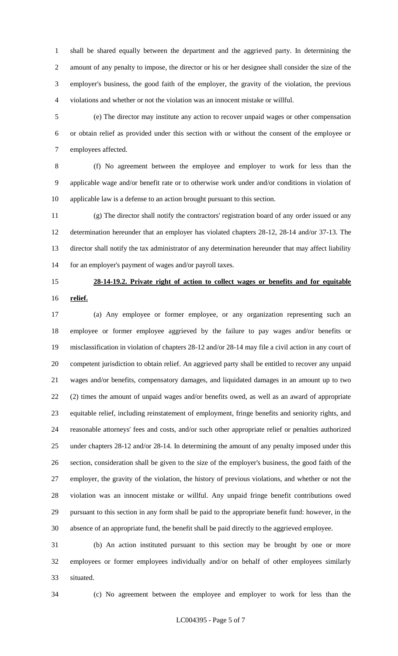shall be shared equally between the department and the aggrieved party. In determining the amount of any penalty to impose, the director or his or her designee shall consider the size of the employer's business, the good faith of the employer, the gravity of the violation, the previous violations and whether or not the violation was an innocent mistake or willful.

 (e) The director may institute any action to recover unpaid wages or other compensation or obtain relief as provided under this section with or without the consent of the employee or employees affected.

 (f) No agreement between the employee and employer to work for less than the applicable wage and/or benefit rate or to otherwise work under and/or conditions in violation of applicable law is a defense to an action brought pursuant to this section.

 (g) The director shall notify the contractors' registration board of any order issued or any determination hereunder that an employer has violated chapters 28-12, 28-14 and/or 37-13. The director shall notify the tax administrator of any determination hereunder that may affect liability for an employer's payment of wages and/or payroll taxes.

# **28-14-19.2. Private right of action to collect wages or benefits and for equitable**

**relief.**

 (a) Any employee or former employee, or any organization representing such an employee or former employee aggrieved by the failure to pay wages and/or benefits or misclassification in violation of chapters 28-12 and/or 28-14 may file a civil action in any court of competent jurisdiction to obtain relief. An aggrieved party shall be entitled to recover any unpaid wages and/or benefits, compensatory damages, and liquidated damages in an amount up to two (2) times the amount of unpaid wages and/or benefits owed, as well as an award of appropriate equitable relief, including reinstatement of employment, fringe benefits and seniority rights, and reasonable attorneys' fees and costs, and/or such other appropriate relief or penalties authorized under chapters 28-12 and/or 28-14. In determining the amount of any penalty imposed under this section, consideration shall be given to the size of the employer's business, the good faith of the employer, the gravity of the violation, the history of previous violations, and whether or not the violation was an innocent mistake or willful. Any unpaid fringe benefit contributions owed pursuant to this section in any form shall be paid to the appropriate benefit fund: however, in the absence of an appropriate fund, the benefit shall be paid directly to the aggrieved employee.

 (b) An action instituted pursuant to this section may be brought by one or more employees or former employees individually and/or on behalf of other employees similarly situated.

(c) No agreement between the employee and employer to work for less than the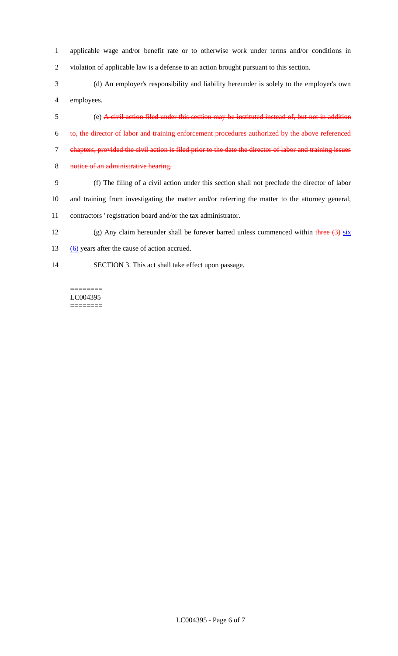- applicable wage and/or benefit rate or to otherwise work under terms and/or conditions in violation of applicable law is a defense to an action brought pursuant to this section.
- (d) An employer's responsibility and liability hereunder is solely to the employer's own employees.
- (e) A civil action filed under this section may be instituted instead of, but not in addition
- to, the director of labor and training enforcement procedures authorized by the above referenced
- chapters, provided the civil action is filed prior to the date the director of labor and training issues
- 8 notice of an administrative hearing.
- (f) The filing of a civil action under this section shall not preclude the director of labor
- and training from investigating the matter and/or referring the matter to the attorney general,
- contractors ' registration board and/or the tax administrator.
- 12 (g) Any claim hereunder shall be forever barred unless commenced within three  $(3)$  six
- 13 (6) years after the cause of action accrued.
- SECTION 3. This act shall take effect upon passage.

======== LC004395 ========